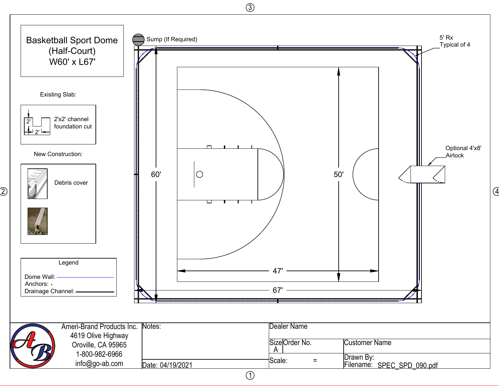

3

 $\widehat{\mathcal{Z}}$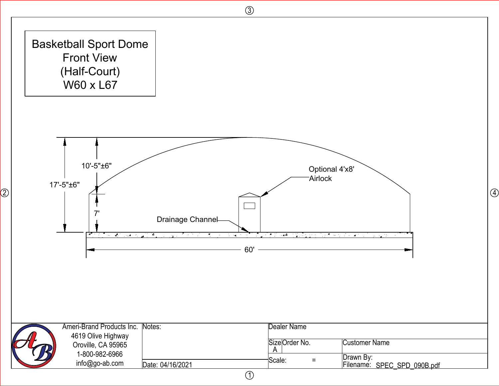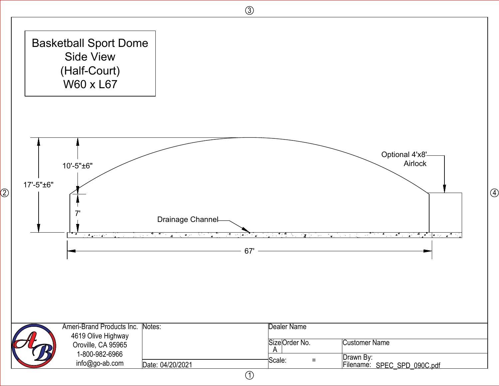